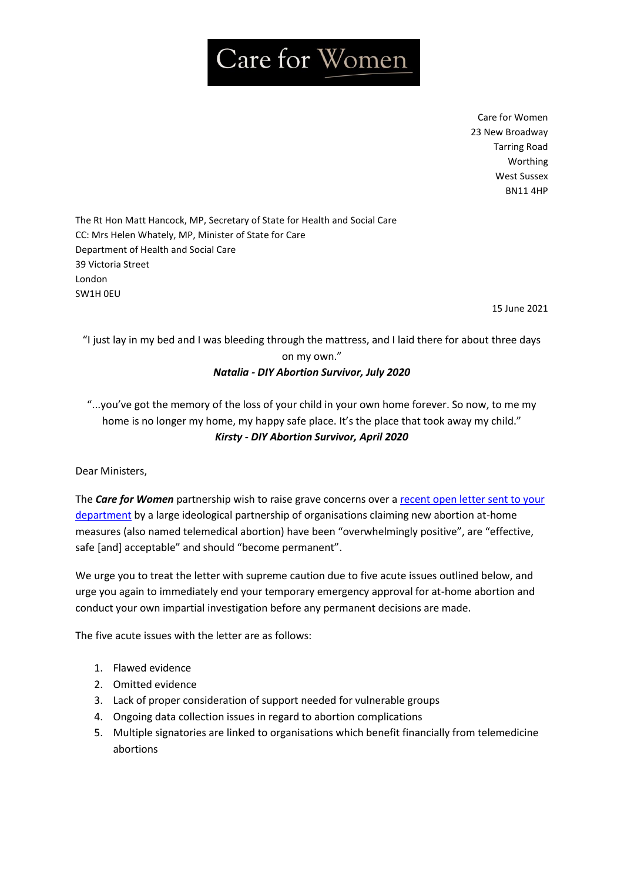# Care for Women

Care for Women 23 New Broadway Tarring Road Worthing West Sussex BN11 4HP

The Rt Hon Matt Hancock, MP, Secretary of State for Health and Social Care CC: Mrs Helen Whately, MP, Minister of State for Care Department of Health and Social Care 39 Victoria Street London SW1H 0EU

15 June 2021

"I just lay in my bed and I was bleeding through the mattress, and I laid there for about three days on my own." *Natalia - DIY Abortion Survivor, July 2020*

"...you've got the memory of the loss of your child in your own home forever. So now, to me my home is no longer my home, my happy safe place. It's the place that took away my child." *Kirsty - DIY Abortion Survivor, April 2020*

Dear Ministers,

The *Care for Women* partnership wish to raise grave concerns over a [recent open letter sent to your](https://www.msichoices.org.uk/media/3579/telemedical-abortion-care-open-letter.pdf)  [department](https://www.msichoices.org.uk/media/3579/telemedical-abortion-care-open-letter.pdf) by a large ideological partnership of organisations claiming new abortion at-home measures (also named telemedical abortion) have been "overwhelmingly positive", are "effective, safe [and] acceptable" and should "become permanent".

We urge you to treat the letter with supreme caution due to five acute issues outlined below, and urge you again to immediately end your temporary emergency approval for at-home abortion and conduct your own impartial investigation before any permanent decisions are made.

The five acute issues with the letter are as follows:

- 1. Flawed evidence
- 2. Omitted evidence
- 3. Lack of proper consideration of support needed for vulnerable groups
- 4. Ongoing data collection issues in regard to abortion complications
- 5. Multiple signatories are linked to organisations which benefit financially from telemedicine abortions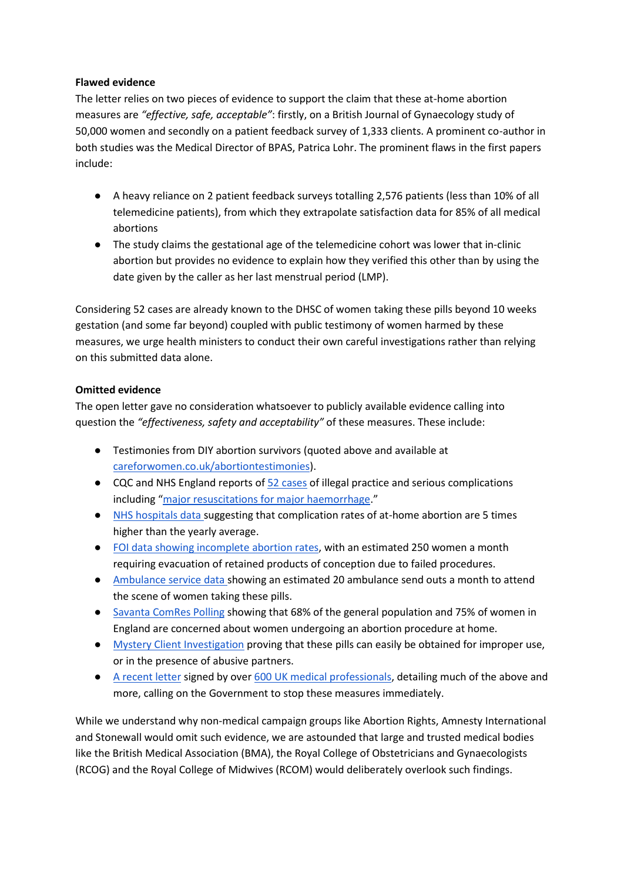## **Flawed evidence**

The letter relies on two pieces of evidence to support the claim that these at-home abortion measures are *"effective, safe, acceptable"*: firstly, on a British Journal of Gynaecology study of 50,000 women and secondly on a patient feedback survey of 1,333 clients. A prominent co-author in both studies was the Medical Director of BPAS, Patrica Lohr. The prominent flaws in the first papers include:

- A heavy reliance on 2 patient feedback surveys totalling 2,576 patients (less than 10% of all telemedicine patients), from which they extrapolate satisfaction data for 85% of all medical abortions
- The study claims the gestational age of the telemedicine cohort was lower that in-clinic abortion but provides no evidence to explain how they verified this other than by using the date given by the caller as her last menstrual period (LMP).

Considering 52 cases are already known to the DHSC of women taking these pills beyond 10 weeks gestation (and some far beyond) coupled with public testimony of women harmed by these measures, we urge health ministers to conduct their own careful investigations rather than relying on this submitted data alone.

## **Omitted evidence**

The open letter gave no consideration whatsoever to publicly available evidence calling into question the *"effectiveness, safety and acceptability"* of these measures. These include:

- Testimonies from DIY abortion survivors (quoted above and available at [careforwomen.co.uk/abortiontestimonies\)](https://www.careforwomen.co.uk/womenstestimonies).
- CQC and NHS England reports o[f 52 cases](https://www.gov.uk/government/statistics/abortion-statistics-during-the-coronavirus-pandemic-january-to-june-2020) of illegal practice and serious complications including "[major resuscitations for major haemorrhage](https://christianconcern.com/wp-content/uploads/2018/10/CC-Resource-Misc-Judicial-Review-Abortion-200729-NHS-email-2.pdf)."
- [NHS hospitals data s](https://percuity.blog/freedom-of-information-investigation-into-complications-from-abortion-at-home/)uggesting that complication rates of at-home abortion are 5 times higher than the yearly average.
- [FOI data showing incomplete abortion rates,](https://percuity.blog/freedom-of-information-investigation-into-complications-from-abortion-at-home/) with an estimated 250 women a month requiring evacuation of retained products of conception due to failed procedures.
- [Ambulance service data s](https://percuity.blog/freedom-of-information-investigation-into-complications-from-abortion-at-home/)howing an estimated 20 ambulance send outs a month to attend the scene of women taking these pills.
- [Savanta ComRes Polling](https://2sjjwunnql41ia7ki31qqub1-wpengine.netdna-ssl.com/wp-content/uploads/2021/02/SPUC_Savanta-ComRes_Dec-2020-Poll_England_Tables.pdf) showing that 68% of the general population and 75% of women in England are concerned about women undergoing an abortion procedure at home.
- [Mystery Client Investigation](https://percuity.blog/mystery-client-survey/) proving that these pills can easily be obtained for improper use, or in the presence of abusive partners.
- [A recent letter](https://righttolife.org.uk/medicalletter) signed by ove[r 600 UK medical professionals,](https://www.dailymail.co.uk/news/article-9583159/More-600-medics-demand-end-pills-post-abortion-scheme.html) detailing much of the above and more, calling on the Government to stop these measures immediately.

While we understand why non-medical campaign groups like Abortion Rights, Amnesty International and Stonewall would omit such evidence, we are astounded that large and trusted medical bodies like the British Medical Association (BMA), the Royal College of Obstetricians and Gynaecologists (RCOG) and the Royal College of Midwives (RCOM) would deliberately overlook such findings.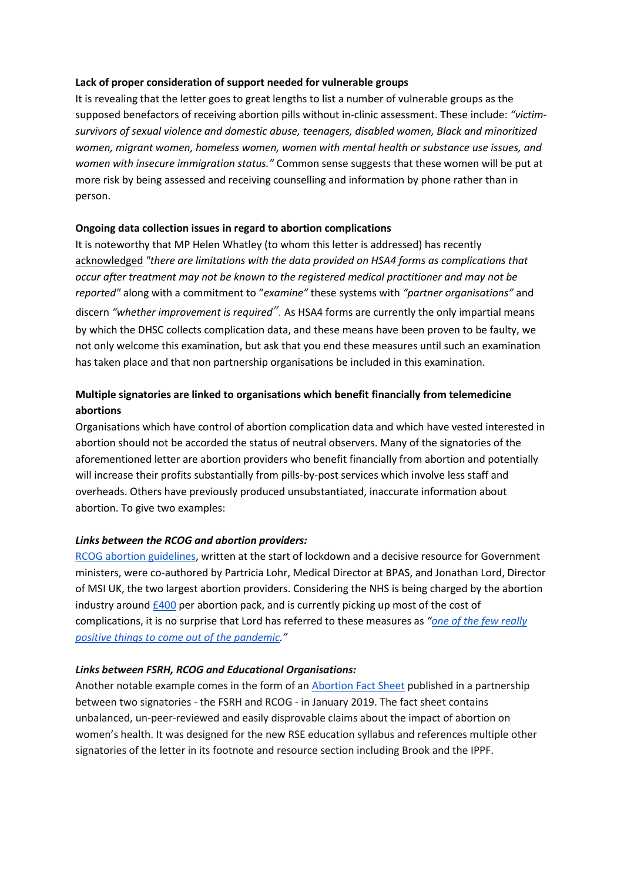#### **Lack of proper consideration of support needed for vulnerable groups**

It is revealing that the letter goes to great lengths to list a number of vulnerable groups as the supposed benefactors of receiving abortion pills without in-clinic assessment. These include: *"victimsurvivors of sexual violence and domestic abuse, teenagers, disabled women, Black and minoritized women, migrant women, homeless women, women with mental health or substance use issues, and women with insecure immigration status."* Common sense suggests that these women will be put at more risk by being assessed and receiving counselling and information by phone rather than in person.

#### **Ongoing data collection issues in regard to abortion complications**

It is noteworthy that MP Helen Whatley (to whom this letter is addressed) has recently [acknowledged](https://questions-statements.parliament.uk/written-questions/detail/2021-04-12/178575) *"there are limitations with the data provided on HSA4 forms as complications that occur after treatment may not be known to the registered medical practitioner and may not be reported"* along with a commitment to "*examine"* these systems with *"partner organisations"* and discern *"whether improvement is required".* As HSA4 forms are currently the only impartial means by which the DHSC collects complication data, and these means have been proven to be faulty, we not only welcome this examination, but ask that you end these measures until such an examination has taken place and that non partnership organisations be included in this examination.

# **Multiple signatories are linked to organisations which benefit financially from telemedicine abortions**

Organisations which have control of abortion complication data and which have vested interested in abortion should not be accorded the status of neutral observers. Many of the signatories of the aforementioned letter are abortion providers who benefit financially from abortion and potentially will increase their profits substantially from pills-by-post services which involve less staff and overheads. Others have previously produced unsubstantiated, inaccurate information about abortion. To give two examples:

#### *Links between the RCOG and abortion providers:*

[RCOG abortion guidelines,](https://www.rcog.org.uk/en/guidelines-research-services/guidelines/coronavirus-abortion/) written at the start of lockdown and a decisive resource for Government ministers, were co-authored by Partricia Lohr, Medical Director at BPAS, and Jonathan Lord, Director of MSI UK, the two largest abortion providers. Considering the NHS is being charged by the abortion industry around  $£400$  per abortion pack, and is currently picking up most of the cost of complications, it is no surprise that Lord has referred to these measures as *"[one of the few really](https://www.theguardian.com/world/2021/apr/21/pills-in-the-post-how-covid-reopened-the-abortion-wars)  [positive things to come out of the pandemic](https://www.theguardian.com/world/2021/apr/21/pills-in-the-post-how-covid-reopened-the-abortion-wars)."* 

#### *Links between FSRH, RCOG and Educational Organisations:*

Another notable example comes in the form of a[n Abortion Fact Sheet](https://www.pshe-association.org.uk/system/files/fsrh-rcog-abortion-care-factsheet-rse-lessons%20%281%29.pdf) published in a partnership between two signatories - the FSRH and RCOG - in January 2019. The fact sheet contains unbalanced, un-peer-reviewed and easily disprovable claims about the impact of abortion on women's health. It was designed for the new RSE education syllabus and references multiple other signatories of the letter in its footnote and resource section including Brook and the IPPF.